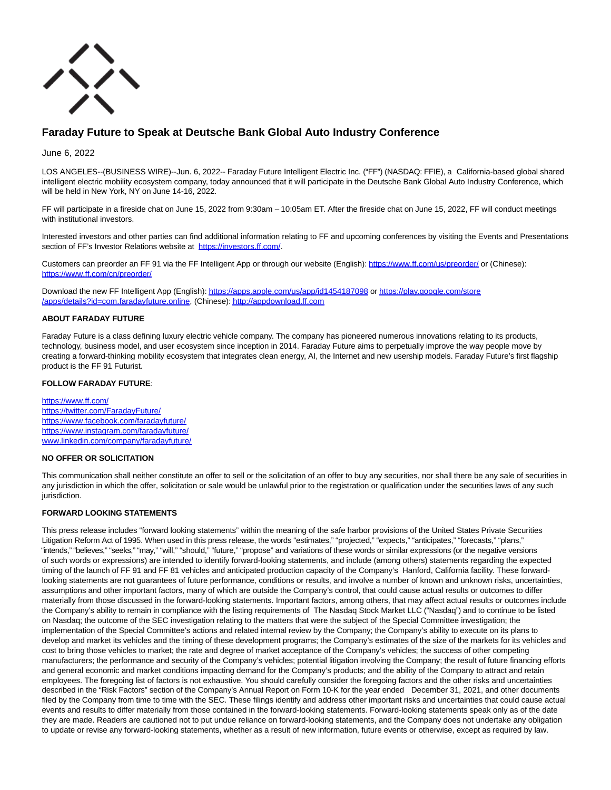

# **Faraday Future to Speak at Deutsche Bank Global Auto Industry Conference**

June 6, 2022

LOS ANGELES--(BUSINESS WIRE)--Jun. 6, 2022-- Faraday Future Intelligent Electric Inc. ("FF") (NASDAQ: FFIE), a California-based global shared intelligent electric mobility ecosystem company, today announced that it will participate in the Deutsche Bank Global Auto Industry Conference, which will be held in New York, NY on June 14-16, 2022.

FF will participate in a fireside chat on June 15, 2022 from 9:30am – 10:05am ET. After the fireside chat on June 15, 2022, FF will conduct meetings with institutional investors.

Interested investors and other parties can find additional information relating to FF and upcoming conferences by visiting the Events and Presentations section of FF's Investor Relations website at [https://investors.ff.com/.](https://cts.businesswire.com/ct/CT?id=smartlink&url=https%3A%2F%2Finvestors.ff.com%2F&esheet=52741503&newsitemid=20220606005993&lan=en-US&anchor=https%3A%2F%2Finvestors.ff.com%2F&index=1&md5=594384de6bc509e7adfd45ceb8ff458a)

Customers can preorder an FF 91 via the FF Intelligent App or through our website (English): [https://www.ff.com/us/preorder/ o](https://cts.businesswire.com/ct/CT?id=smartlink&url=https%3A%2F%2Fwww.ff.com%2Fus%2Fpreorder%2F&esheet=52741503&newsitemid=20220606005993&lan=en-US&anchor=https%3A%2F%2Fwww.ff.com%2Fus%2Fpreorder%2F&index=2&md5=d3039ae093aac73720bfc9f653b605d5)r (Chinese): [https://www.ff.com/cn/preorder/](https://cts.businesswire.com/ct/CT?id=smartlink&url=https%3A%2F%2Fwww.ff.com%2Fcn%2Fpreorder%2F&esheet=52741503&newsitemid=20220606005993&lan=en-US&anchor=https%3A%2F%2Fwww.ff.com%2Fcn%2Fpreorder%2F&index=3&md5=43544e8318194265978a5c60b300cd16)

Download the new FF Intelligent App (English)[: https://apps.apple.com/us/app/id1454187098 o](https://cts.businesswire.com/ct/CT?id=smartlink&url=https%3A%2F%2Fapps.apple.com%2Fus%2Fapp%2Fid1454187098&esheet=52741503&newsitemid=20220606005993&lan=en-US&anchor=https%3A%2F%2Fapps.apple.com%2Fus%2Fapp%2Fid1454187098&index=4&md5=ba41c0b0ca1d9e98a05598b462bc6c66)[r https://play.google.com/store](https://cts.businesswire.com/ct/CT?id=smartlink&url=https%3A%2F%2Fplay.google.com%2Fstore%2Fapps%2Fdetails%3Fid%3Dcom.faradayfuture.online&esheet=52741503&newsitemid=20220606005993&lan=en-US&anchor=https%3A%2F%2Fplay.google.com%2Fstore%2Fapps%2Fdetails%3Fid%3Dcom.faradayfuture.online&index=5&md5=8d3b1261a42f0067dcd79b5a53354fd0) /apps/details?id=com.faradayfuture.online, (Chinese)[: http://appdownload.ff.com](https://cts.businesswire.com/ct/CT?id=smartlink&url=http%3A%2F%2Fappdownload.ff.com&esheet=52741503&newsitemid=20220606005993&lan=en-US&anchor=http%3A%2F%2Fappdownload.ff.com&index=6&md5=650f5e66e2605857840035780a6db2c2)

# **ABOUT FARADAY FUTURE**

Faraday Future is a class defining luxury electric vehicle company. The company has pioneered numerous innovations relating to its products, technology, business model, and user ecosystem since inception in 2014. Faraday Future aims to perpetually improve the way people move by creating a forward-thinking mobility ecosystem that integrates clean energy, AI, the Internet and new usership models. Faraday Future's first flagship product is the FF 91 Futurist.

# **FOLLOW FARADAY FUTURE**:

[https://www.ff.com/](https://cts.businesswire.com/ct/CT?id=smartlink&url=https%3A%2F%2Fwww.ff.com%2F&esheet=52741503&newsitemid=20220606005993&lan=en-US&anchor=https%3A%2F%2Fwww.ff.com%2F&index=7&md5=5b2d69c554a804191ce9067972073d5a) [https://twitter.com/FaradayFuture/](https://cts.businesswire.com/ct/CT?id=smartlink&url=https%3A%2F%2Ftwitter.com%2FFaradayFuture%2F&esheet=52741503&newsitemid=20220606005993&lan=en-US&anchor=https%3A%2F%2Ftwitter.com%2FFaradayFuture%2F&index=8&md5=2384f0f2b65a3bc3372cc95d88d910c1) [https://www.facebook.com/faradayfuture/](https://cts.businesswire.com/ct/CT?id=smartlink&url=https%3A%2F%2Fwww.facebook.com%2Ffaradayfuture%2F&esheet=52741503&newsitemid=20220606005993&lan=en-US&anchor=https%3A%2F%2Fwww.facebook.com%2Ffaradayfuture%2F&index=9&md5=f1f373b48a897402731ecff286a4cc2b) [https://www.instagram.com/faradayfuture/](https://cts.businesswire.com/ct/CT?id=smartlink&url=https%3A%2F%2Fwww.instagram.com%2Ffaradayfuture%2F&esheet=52741503&newsitemid=20220606005993&lan=en-US&anchor=https%3A%2F%2Fwww.instagram.com%2Ffaradayfuture%2F&index=10&md5=7a5a39d619b9bf13a8de1d382df385e5) [www.linkedin.com/company/faradayfuture/](https://cts.businesswire.com/ct/CT?id=smartlink&url=http%3A%2F%2Fwww.linkedin.com%2Fcompany%2Ffaradayfuture%2F&esheet=52741503&newsitemid=20220606005993&lan=en-US&anchor=www.linkedin.com%2Fcompany%2Ffaradayfuture%2F&index=11&md5=2d206403d6d577a630d0349b0bd4f139)

# **NO OFFER OR SOLICITATION**

This communication shall neither constitute an offer to sell or the solicitation of an offer to buy any securities, nor shall there be any sale of securities in any jurisdiction in which the offer, solicitation or sale would be unlawful prior to the registration or qualification under the securities laws of any such jurisdiction.

# **FORWARD LOOKING STATEMENTS**

This press release includes "forward looking statements" within the meaning of the safe harbor provisions of the United States Private Securities Litigation Reform Act of 1995. When used in this press release, the words "estimates," "projected," "expects," "anticipates," "forecasts," "plans," "intends," "believes," "seeks," "may," "will," "should," "future," "propose" and variations of these words or similar expressions (or the negative versions of such words or expressions) are intended to identify forward-looking statements, and include (among others) statements regarding the expected timing of the launch of FF 91 and FF 81 vehicles and anticipated production capacity of the Company's Hanford, California facility. These forwardlooking statements are not guarantees of future performance, conditions or results, and involve a number of known and unknown risks, uncertainties, assumptions and other important factors, many of which are outside the Company's control, that could cause actual results or outcomes to differ materially from those discussed in the forward-looking statements. Important factors, among others, that may affect actual results or outcomes include the Company's ability to remain in compliance with the listing requirements of The Nasdaq Stock Market LLC ("Nasdaq") and to continue to be listed on Nasdaq; the outcome of the SEC investigation relating to the matters that were the subject of the Special Committee investigation; the implementation of the Special Committee's actions and related internal review by the Company; the Company's ability to execute on its plans to develop and market its vehicles and the timing of these development programs; the Company's estimates of the size of the markets for its vehicles and cost to bring those vehicles to market; the rate and degree of market acceptance of the Company's vehicles; the success of other competing manufacturers; the performance and security of the Company's vehicles; potential litigation involving the Company; the result of future financing efforts and general economic and market conditions impacting demand for the Company's products; and the ability of the Company to attract and retain employees. The foregoing list of factors is not exhaustive. You should carefully consider the foregoing factors and the other risks and uncertainties described in the "Risk Factors" section of the Company's Annual Report on Form 10-K for the year ended December 31, 2021, and other documents filed by the Company from time to time with the SEC. These filings identify and address other important risks and uncertainties that could cause actual events and results to differ materially from those contained in the forward-looking statements. Forward-looking statements speak only as of the date they are made. Readers are cautioned not to put undue reliance on forward-looking statements, and the Company does not undertake any obligation to update or revise any forward-looking statements, whether as a result of new information, future events or otherwise, except as required by law.